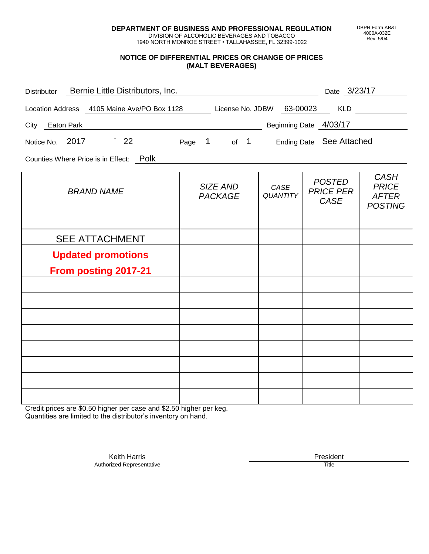**DEPARTMENT OF BUSINESS AND PROFESSIONAL REGULATION** DIVISION OF ALCOHOLIC BEVERAGES AND TOBACCO

1940 NORTH MONROE STREET • TALLAHASSEE, FL 32399-1022

#### **NOTICE OF DIFFERENTIAL PRICES OR CHANGE OF PRICES (MALT BEVERAGES)**

| Distributor Bernie Little Distributors, Inc.                              |                            |                         | Date 3/23/17                                     |                                                               |
|---------------------------------------------------------------------------|----------------------------|-------------------------|--------------------------------------------------|---------------------------------------------------------------|
| Location Address 4105 Maine Ave/PO Box 1128 License No. JDBW 63-00023 KLD |                            |                         |                                                  |                                                               |
| City Eaton Park                                                           | Beginning Date 4/03/17     |                         |                                                  |                                                               |
| Notice No. 2017 22 Page 1 of 1 Ending Date See Attached                   |                            |                         |                                                  |                                                               |
| Counties Where Price is in Effect: Polk                                   |                            |                         |                                                  |                                                               |
| <b>BRAND NAME</b>                                                         | SIZE AND<br><b>PACKAGE</b> | CASE<br><b>QUANTITY</b> | <b>POSTED</b><br><b>PRICE PER</b><br><b>CASE</b> | <b>CASH</b><br><b>PRICE</b><br><b>AFTER</b><br><b>POSTING</b> |
|                                                                           |                            |                         |                                                  |                                                               |
| <b>SEE ATTACHMENT</b>                                                     |                            |                         |                                                  |                                                               |
| <b>Updated promotions</b>                                                 |                            |                         |                                                  |                                                               |
| From posting 2017-21                                                      |                            |                         |                                                  |                                                               |
|                                                                           |                            |                         |                                                  |                                                               |
|                                                                           |                            |                         |                                                  |                                                               |
|                                                                           |                            |                         |                                                  |                                                               |
|                                                                           |                            |                         |                                                  |                                                               |
|                                                                           |                            |                         |                                                  |                                                               |
|                                                                           |                            |                         |                                                  |                                                               |
|                                                                           |                            |                         |                                                  |                                                               |

Credit prices are \$0.50 higher per case and \$2.50 higher per keg. Quantities are limited to the distributor's inventory on hand.

> Keith Harris **President** President **President** President **President** President **President** Authorized Representative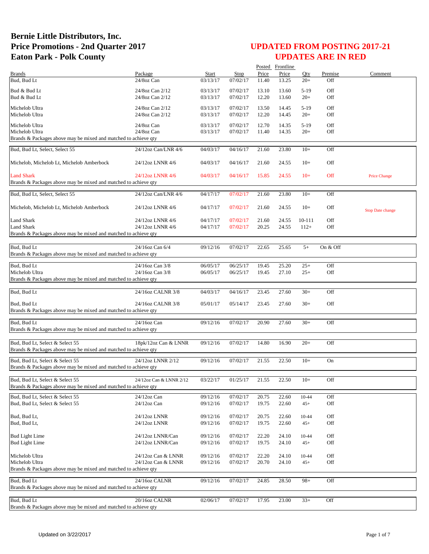|                                                                 |                         |              |             |       | Posted Frontline |        |          |                         |
|-----------------------------------------------------------------|-------------------------|--------------|-------------|-------|------------------|--------|----------|-------------------------|
| <b>Brands</b>                                                   | Package                 | <b>Start</b> | <b>Stop</b> | Price | Price            | Qty    | Premise  | Comment                 |
| Bud, Bud Lt                                                     | 24/8oz Can              | 03/13/17     | 07/02/17    | 11.40 | 13.25            | $20+$  | Off      |                         |
| Bud & Bud Lt                                                    | 24/8oz Can 2/12         | 03/13/17     | 07/02/17    | 13.10 | 13.60            | $5-19$ | Off      |                         |
| Bud & Bud Lt                                                    | 24/8oz Can 2/12         | 03/13/17     | 07/02/17    | 12.20 | 13.60            | $20+$  | Off      |                         |
|                                                                 |                         |              |             |       |                  |        |          |                         |
| Michelob Ultra                                                  | 24/8oz Can 2/12         | 03/13/17     | 07/02/17    | 13.50 | 14.45            | $5-19$ | Off      |                         |
| Michelob Ultra                                                  | 24/8oz Can 2/12         | 03/13/17     | 07/02/17    | 12.20 | 14.45            | $20+$  | Off      |                         |
| Michelob Ultra                                                  | 24/8oz Can              | 03/13/17     | 07/02/17    | 12.70 | 14.35            | $5-19$ | Off      |                         |
| Michelob Ultra                                                  | 24/8oz Can              | 03/13/17     | 07/02/17    | 11.40 | 14.35            | $20+$  | Off      |                         |
| Brands & Packages above may be mixed and matched to achieve qty |                         |              |             |       |                  |        |          |                         |
|                                                                 |                         |              |             |       |                  |        |          |                         |
| Bud, Bud Lt, Select, Select 55                                  | 24/12oz Can/LNR 4/6     | 04/03/17     | 04/16/17    | 21.60 | 23.80            | $10+$  | Off      |                         |
|                                                                 |                         |              |             |       |                  |        |          |                         |
| Michelob, Michelob Lt, Michelob Amberbock                       | 24/12oz LNNR 4/6        | 04/03/17     | 04/16/17    | 21.60 | 24.55            | $10+$  | Off      |                         |
|                                                                 |                         |              |             |       |                  |        |          |                         |
| <b>Land Shark</b>                                               | 24/12oz LNNR 4/6        | 04/03/17     | 04/16/17    | 15.85 | 24.55            | $10+$  | Off      | <b>Price Change</b>     |
| Brands & Packages above may be mixed and matched to achieve qty |                         |              |             |       |                  |        |          |                         |
| Bud, Bud Lt, Select, Select 55                                  | 24/12oz Can/LNR 4/6     | 04/17/17     | 07/02/17    | 21.60 | 23.80            | $10+$  | Off      |                         |
|                                                                 |                         |              |             |       |                  |        |          |                         |
| Michelob, Michelob Lt, Michelob Amberbock                       | 24/12oz LNNR 4/6        | 04/17/17     | 07/02/17    | 21.60 | 24.55            | $10+$  | Off      | <b>Stop Date change</b> |
|                                                                 |                         |              |             |       |                  |        |          |                         |
| Land Shark                                                      | 24/12oz LNNR 4/6        | 04/17/17     | 07/02/17    | 21.60 | 24.55            | 10-111 | Off      |                         |
| <b>Land Shark</b>                                               | 24/12oz LNNR 4/6        | 04/17/17     | 07/02/17    | 20.25 | 24.55            | $112+$ | Off      |                         |
| Brands & Packages above may be mixed and matched to achieve qty |                         |              |             |       |                  |        |          |                         |
|                                                                 |                         |              |             |       |                  |        |          |                         |
| Bud, Bud Lt                                                     | 24/16oz Can 6/4         | 09/12/16     | 07/02/17    | 22.65 | 25.65            | $5+$   | On & Off |                         |
| Brands & Packages above may be mixed and matched to achieve qty |                         |              |             |       |                  |        |          |                         |
|                                                                 |                         |              |             |       |                  |        |          |                         |
| Bud, Bud Lt                                                     | 24/16oz Can 3/8         | 06/05/17     | 06/25/17    | 19.45 | 25.20            | $25+$  | Off      |                         |
| Michelob Ultra                                                  | 24/16oz Can 3/8         | 06/05/17     | 06/25/17    | 19.45 | 27.10            | $25+$  | Off      |                         |
| Brands & Packages above may be mixed and matched to achieve qty |                         |              |             |       |                  |        |          |                         |
| Bud, Bud Lt                                                     | 24/16oz CALNR 3/8       | 04/03/17     | 04/16/17    | 23.45 | 27.60            | $30+$  | Off      |                         |
|                                                                 |                         |              |             |       |                  |        |          |                         |
| Bud, Bud Lt                                                     | 24/16oz CALNR 3/8       | 05/01/17     | 05/14/17    | 23.45 | 27.60            | $30+$  | Off      |                         |
| Brands & Packages above may be mixed and matched to achieve qty |                         |              |             |       |                  |        |          |                         |
|                                                                 |                         |              |             |       |                  |        |          |                         |
| Bud, Bud Lt                                                     | 24/16oz Can             | 09/12/16     | 07/02/17    | 20.90 | 27.60            | $30+$  | Off      |                         |
| Brands & Packages above may be mixed and matched to achieve qty |                         |              |             |       |                  |        |          |                         |
|                                                                 |                         |              |             |       |                  |        |          |                         |
| Bud, Bud Lt, Select & Select 55                                 | 18pk/12oz Can & LNNR    | 09/12/16     | 07/02/17    | 14.80 | 16.90            | $20+$  | Off      |                         |
| Brands & Packages above may be mixed and matched to achieve qty |                         |              |             |       |                  |        |          |                         |
| Bud, Bud Lt. Select & Select 55                                 | 24/12oz LNNR 2/12       | 09/12/16     | 07/02/17    | 21.55 | 22.50            | $10+$  | On       |                         |
| Brands & Packages above may be mixed and matched to achieve qty |                         |              |             |       |                  |        |          |                         |
|                                                                 |                         |              |             |       |                  |        |          |                         |
| Bud, Bud Lt, Select & Select 55                                 | 24/12oz Can & LNNR 2/12 | 03/22/17     | 01/25/17    | 21.55 | 22.50            | $10+$  | Off      |                         |
| Brands & Packages above may be mixed and matched to achieve qty |                         |              |             |       |                  |        |          |                         |
| Bud, Bud Lt, Select & Select 55                                 | 24/12oz Can             | 09/12/16     | 07/02/17    | 20.75 | 22.60            | 10-44  | Off      |                         |
| Bud, Bud Lt, Select & Select 55                                 | 24/12oz Can             | 09/12/16     | 07/02/17    | 19.75 | 22.60            | $45+$  | Off      |                         |
|                                                                 |                         |              |             |       |                  |        |          |                         |
| Bud, Bud Lt,                                                    | 24/12oz LNNR            | 09/12/16     | 07/02/17    | 20.75 | 22.60            | 10-44  | Off      |                         |
| Bud, Bud Lt,                                                    | 24/12oz LNNR            | 09/12/16     | 07/02/17    | 19.75 | 22.60            | $45+$  | Off      |                         |
|                                                                 |                         |              |             |       |                  |        |          |                         |
| <b>Bud Light Lime</b>                                           | 24/12oz LNNR/Can        | 09/12/16     | 07/02/17    | 22.20 | 24.10            | 10-44  | Off      |                         |
| <b>Bud Light Lime</b>                                           | 24/12oz LNNR/Can        | 09/12/16     | 07/02/17    | 19.75 | 24.10            | $45+$  | Off      |                         |
|                                                                 |                         |              |             |       |                  |        |          |                         |
| Michelob Ultra                                                  | 24/12oz Can & LNNR      | 09/12/16     | 07/02/17    | 22.20 | 24.10            | 10-44  | Off      |                         |
| Michelob Ultra                                                  | 24/12oz Can & LNNR      | 09/12/16     | 07/02/17    | 20.70 | 24.10            | $45+$  | Off      |                         |
| Brands & Packages above may be mixed and matched to achieve qty |                         |              |             |       |                  |        |          |                         |
|                                                                 |                         |              |             |       |                  |        |          |                         |
| Bud, Bud Lt                                                     | 24/16oz CALNR           | 09/12/16     | 07/02/17    | 24.85 | 28.50            | $98+$  | Off      |                         |
| Brands & Packages above may be mixed and matched to achieve qty |                         |              |             |       |                  |        |          |                         |
| Bud, Bud Lt                                                     | 20/16oz CALNR           | 02/06/17     | 07/02/17    | 17.95 | 23.00            | $33+$  | Off      |                         |
| Brands & Packages above may be mixed and matched to achieve qty |                         |              |             |       |                  |        |          |                         |
|                                                                 |                         |              |             |       |                  |        |          |                         |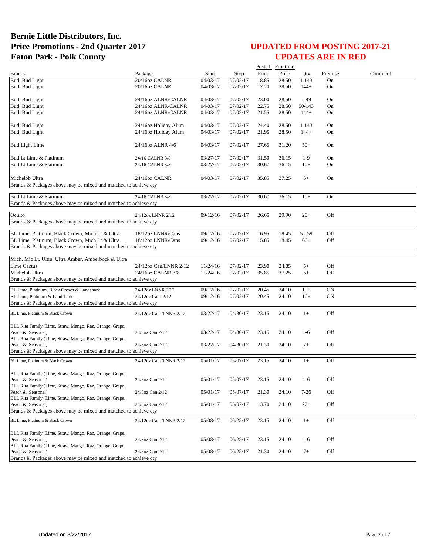|                                                                                      |                        |          |          |       | Posted Frontline |           |           |         |
|--------------------------------------------------------------------------------------|------------------------|----------|----------|-------|------------------|-----------|-----------|---------|
| <b>Brands</b>                                                                        | Package                | Start    | Stop     | Price | Price            | Oty       | Premise   | Comment |
| Bud, Bud Light                                                                       | 20/16oz CALNR          | 04/03/17 | 07/02/17 | 18.85 | 28.50            | $1 - 143$ | On        |         |
| Bud, Bud Light                                                                       | 20/16oz CALNR          | 04/03/17 | 07/02/17 | 17.20 | 28.50            | $144+$    | On        |         |
| Bud, Bud Light                                                                       | 24/16oz ALNR/CALNR     | 04/03/17 | 07/02/17 | 23.00 | 28.50            | $1-49$    | On        |         |
| Bud, Bud Light                                                                       | 24/16oz ALNR/CALNR     | 04/03/17 | 07/02/17 | 22.75 | 28.50            | 50-143    | On        |         |
| Bud, Bud Light                                                                       | 24/16oz ALNR/CALNR     | 04/03/17 | 07/02/17 | 21.55 | 28.50            | $144+$    | On        |         |
|                                                                                      |                        |          |          |       |                  |           |           |         |
| Bud, Bud Light                                                                       | 24/16oz Holiday Alum   | 04/03/17 | 07/02/17 | 24.40 | 28.50            | $1 - 143$ | On        |         |
| Bud, Bud Light                                                                       | 24/16oz Holiday Alum   | 04/03/17 | 07/02/17 | 21.95 | 28.50            | $144+$    | On        |         |
| <b>Bud Light Lime</b>                                                                | 24/16oz ALNR 4/6       | 04/03/17 | 07/02/17 | 27.65 | 31.20            | $50+$     | On        |         |
| Bud Lt Lime & Platinum                                                               | 24/16 CALNR 3/8        | 03/27/17 | 07/02/17 | 31.50 | 36.15            | $1-9$     | On        |         |
| Bud Lt Lime & Platinum                                                               | 24/16 CALNR 3/8        | 03/27/17 | 07/02/17 | 30.67 | 36.15            | $10+$     | On        |         |
|                                                                                      |                        |          |          |       |                  |           |           |         |
| Michelob Ultra<br>Brands & Packages above may be mixed and matched to achieve qty    | 24/16oz CALNR          | 04/03/17 | 07/02/17 | 35.85 | 37.25            | $5+$      | On        |         |
| Bud Lt Lime & Platinum                                                               | 24/16 CALNR 3/8        | 03/27/17 | 07/02/17 | 30.67 | 36.15            | $10+$     | On        |         |
| Brands & Packages above may be mixed and matched to achieve qty                      |                        |          |          |       |                  |           |           |         |
|                                                                                      |                        |          |          |       |                  |           |           |         |
| Oculto                                                                               | 24/12oz LNNR 2/12      | 09/12/16 | 07/02/17 | 26.65 | 29.90            | $20+$     | Off       |         |
| Brands & Packages above may be mixed and matched to achieve qty                      |                        |          |          |       |                  |           |           |         |
| BL Lime, Platinum, Black Crown, Mich Lt & Ultra                                      | 18/12oz LNNR/Cans      | 09/12/16 | 07/02/17 | 16.95 | 18.45            | $5 - 59$  | Off       |         |
| BL Lime, Platinum, Black Crown, Mich Lt & Ultra                                      | 18/12oz LNNR/Cans      | 09/12/16 | 07/02/17 | 15.85 | 18.45            | $60+$     | Off       |         |
| Brands & Packages above may be mixed and matched to achieve qty                      |                        |          |          |       |                  |           |           |         |
|                                                                                      |                        |          |          |       |                  |           |           |         |
| Mich, Mic Lt, Ultra, Ultra Amber, Amberbock & Ultra                                  |                        |          |          |       |                  |           |           |         |
| Lime Cactus                                                                          | 24/12oz Can/LNNR 2/12  | 11/24/16 | 07/02/17 | 23.90 | 24.85            | $5+$      | Off       |         |
| Michelob Ultra                                                                       | 24/16oz CALNR 3/8      | 11/24/16 | 07/02/17 | 35.85 | 37.25            | $5+$      | Off       |         |
| Brands & Packages above may be mixed and matched to achieve qty                      |                        |          |          |       |                  |           |           |         |
| BL Lime, Platinum, Black Crown & Landshark                                           | 24/12oz LNNR 2/12      | 09/12/16 | 07/02/17 | 20.45 | 24.10            | $10+$     | <b>ON</b> |         |
| BL Lime, Platinum & Landshark                                                        | 24/12oz Cans 2/12      | 09/12/16 | 07/02/17 | 20.45 | 24.10            | $10+$     | ON        |         |
| Brands & Packages above may be mixed and matched to achieve qty                      |                        |          |          |       |                  |           |           |         |
| BL Lime, Platinum & Black Crown                                                      | 24/12oz Cans/LNNR 2/12 | 03/22/17 | 04/30/17 | 23.15 | 24.10            | $1+$      | Off       |         |
|                                                                                      |                        |          |          |       |                  |           |           |         |
| BLL Rita Family (Lime, Straw, Mango, Raz, Orange, Grape,                             |                        |          |          |       |                  |           |           |         |
| Peach & Seasonal)                                                                    | 24/8oz Can 2/12        | 03/22/17 | 04/30/17 | 23.15 | 24.10            | $1-6$     | Off       |         |
| BLL Rita Family (Lime, Straw, Mango, Raz, Orange, Grape,<br>Peach & Seasonal)        | 24/8oz Can 2/12        | 03/22/17 | 04/30/17 | 21.30 | 24.10            | $7+$      | Off       |         |
| Brands & Packages above may be mixed and matched to achieve qty                      |                        |          |          |       |                  |           |           |         |
|                                                                                      |                        |          |          |       |                  |           |           |         |
| BL Lime, Platinum & Black Crown                                                      | 24/12oz Cans/LNNR 2/12 | 05/01/17 | 05/07/17 | 23.15 | 24.10            | $1+$      | Off       |         |
| BLL Rita Family (Lime, Straw, Mango, Raz, Orange, Grape,                             |                        |          |          |       |                  |           |           |         |
| Peach & Seasonal)                                                                    | 24/8oz Can 2/12        | 05/01/17 | 05/07/17 | 23.15 | 24.10            | $1-6$     | Off       |         |
| BLL Rita Family (Lime, Straw, Mango, Raz, Orange, Grape,                             |                        |          |          |       |                  |           |           |         |
| Peach & Seasonal)                                                                    | 24/8oz Can 2/12        | 05/01/17 | 05/07/17 | 21.30 | 24.10            | $7-26$    | Off       |         |
| BLL Rita Family (Lime, Straw, Mango, Raz, Orange, Grape,                             |                        |          |          |       |                  |           |           |         |
| Peach & Seasonal)<br>Brands & Packages above may be mixed and matched to achieve qty | 24/8oz Can 2/12        | 05/01/17 | 05/07/17 | 13.70 | 24.10            | $27+$     | Off       |         |
|                                                                                      |                        |          |          |       |                  |           |           |         |
| BL Lime, Platinum & Black Crown                                                      | 24/12oz Cans/LNNR 2/12 | 05/08/17 | 06/25/17 | 23.15 | 24.10            | $1+$      | Off       |         |
| BLL Rita Family (Lime, Straw, Mango, Raz, Orange, Grape,                             |                        |          |          |       |                  |           |           |         |
| Peach & Seasonal)                                                                    | 24/8oz Can 2/12        | 05/08/17 | 06/25/17 | 23.15 | 24.10            | $1-6$     | Off       |         |
| BLL Rita Family (Lime, Straw, Mango, Raz, Orange, Grape,                             |                        |          |          |       |                  |           |           |         |
| Peach & Seasonal)                                                                    | 24/8oz Can 2/12        | 05/08/17 | 06/25/17 | 21.30 | 24.10            | $7+$      | Off       |         |
| Brands & Packages above may be mixed and matched to achieve qty                      |                        |          |          |       |                  |           |           |         |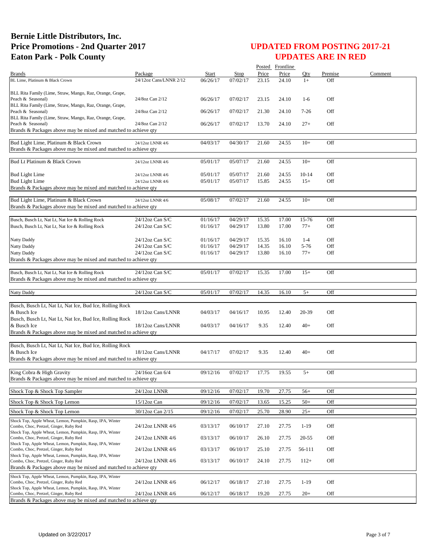|                                                                                                           |                                      |                      |                      |                | Posted Frontline |                  |            |         |
|-----------------------------------------------------------------------------------------------------------|--------------------------------------|----------------------|----------------------|----------------|------------------|------------------|------------|---------|
| <b>Brands</b>                                                                                             | Package                              | <b>Start</b>         | Stop                 | Price          | Price            | Oty              | Premise    | Comment |
| BL Lime, Platinum & Black Crown                                                                           | 24/12oz Cans/LNNR 2/12               | 06/26/17             | 07/02/17             | 23.15          | 24.10            | $1+$             | Off        |         |
| BLL Rita Family (Lime, Straw, Mango, Raz, Orange, Grape,                                                  |                                      |                      |                      |                |                  |                  |            |         |
| Peach & Seasonal)                                                                                         | 24/8oz Can 2/12                      | 06/26/17             | 07/02/17             | 23.15          | 24.10            | $1-6$            | Off        |         |
| BLL Rita Family (Lime, Straw, Mango, Raz, Orange, Grape,                                                  |                                      |                      |                      |                |                  |                  |            |         |
| Peach & Seasonal)<br>BLL Rita Family (Lime, Straw, Mango, Raz, Orange, Grape,                             | 24/8oz Can 2/12                      | 06/26/17             | 07/02/17             | 21.30          | 24.10            | $7-26$           | Off        |         |
| Peach & Seasonal)                                                                                         | 24/8oz Can 2/12                      | 06/26/17             | 07/02/17             | 13.70          | 24.10            | $27+$            | Off        |         |
| Brands & Packages above may be mixed and matched to achieve qty                                           |                                      |                      |                      |                |                  |                  |            |         |
|                                                                                                           |                                      |                      |                      |                |                  |                  |            |         |
| Bud Light Lime, Platinum & Black Crown<br>Brands & Packages above may be mixed and matched to achieve qty | 24/12oz LNNR 4/6                     | 04/03/17             | 04/30/17             | 21.60          | 24.55            | $10+$            | Off        |         |
|                                                                                                           |                                      |                      |                      |                |                  |                  |            |         |
| Bud Lt Platinum & Black Crown                                                                             | 24/12oz LNNR 4/6                     | 05/01/17             | 05/07/17             | 21.60          | 24.55            | $10+$            | Off        |         |
|                                                                                                           |                                      |                      |                      |                |                  |                  |            |         |
| <b>Bud Light Lime</b><br><b>Bud Light Lime</b>                                                            | 24/12oz LNNR 4/6<br>24/12oz LNNR 4/6 | 05/01/17<br>05/01/17 | 05/07/17<br>05/07/17 | 21.60<br>15.85 | 24.55<br>24.55   | $10-14$<br>$15+$ | Off<br>Off |         |
| Brands & Packages above may be mixed and matched to achieve qty                                           |                                      |                      |                      |                |                  |                  |            |         |
|                                                                                                           |                                      |                      |                      |                |                  |                  |            |         |
| Bud Light Lime, Platinum & Black Crown                                                                    | 24/12oz LNNR 4/6                     | 05/08/17             | 07/02/17             | 21.60          | 24.55            | $10+$            | Off        |         |
| Brands & Packages above may be mixed and matched to achieve qty                                           |                                      |                      |                      |                |                  |                  |            |         |
| Busch, Busch Lt, Nat Lt, Nat Ice & Rolling Rock                                                           | 24/12oz Can S/C                      | 01/16/17             | 04/29/17             | 15.35          | 17.00            | 15-76            | Off        |         |
| Busch, Busch Lt, Nat Lt, Nat Ice & Rolling Rock                                                           | 24/12oz Can S/C                      | 01/16/17             | 04/29/17             | 13.80          | 17.00            | $77+$            | Off        |         |
|                                                                                                           |                                      |                      |                      |                |                  |                  |            |         |
| Natty Daddy                                                                                               | 24/12oz Can S/C                      | 01/16/17             | 04/29/17             | 15.35          | 16.10            | $1 - 4$          | Off        |         |
| Natty Daddy                                                                                               | 24/12oz Can S/C                      | 01/16/17             | 04/29/17             | 14.35          | 16.10            | 5-76             | Off        |         |
| Natty Daddy<br>Brands & Packages above may be mixed and matched to achieve qty                            | 24/12oz Can S/C                      | 01/16/17             | 04/29/17             | 13.80          | 16.10            | $77+$            | Off        |         |
|                                                                                                           |                                      |                      |                      |                |                  |                  |            |         |
| Busch, Busch Lt, Nat Lt, Nat Ice & Rolling Rock                                                           | 24/12oz Can S/C                      | 05/01/17             | 07/02/17             | 15.35          | 17.00            | $15+$            | Off        |         |
| Brands & Packages above may be mixed and matched to achieve qty                                           |                                      |                      |                      |                |                  |                  |            |         |
|                                                                                                           |                                      |                      |                      |                |                  |                  |            |         |
| Natty Daddy                                                                                               | 24/12oz Can S/C                      | 05/01/17             | 07/02/17             | 14.35          | 16.10            | $5+$             | Off        |         |
| Busch, Busch Lt, Nat Lt, Nat Ice, Bud Ice, Rolling Rock                                                   |                                      |                      |                      |                |                  |                  |            |         |
| & Busch Ice                                                                                               | 18/12oz Cans/LNNR                    | 04/03/17             | 04/16/17             | 10.95          | 12.40            | 20-39            | Off        |         |
| Busch, Busch Lt, Nat Lt, Nat Ice, Bud Ice, Rolling Rock                                                   |                                      |                      |                      |                |                  |                  |            |         |
| & Busch Ice                                                                                               | 18/12oz Cans/LNNR                    | 04/03/17             | 04/16/17             | 9.35           | 12.40            | $40+$            | Off        |         |
| Brands & Packages above may be mixed and matched to achieve qty                                           |                                      |                      |                      |                |                  |                  |            |         |
| Busch, Busch Lt, Nat Lt, Nat Ice, Bud Ice, Rolling Rock                                                   |                                      |                      |                      |                |                  |                  |            |         |
| & Busch Ice                                                                                               | 18/12oz Cans/LNNR                    | 04/17/17             | 07/02/17             | 9.35           | 12.40            | $40+$            | Off        |         |
| Brands & Packages above may be mixed and matched to achieve qty                                           |                                      |                      |                      |                |                  |                  |            |         |
|                                                                                                           |                                      |                      |                      |                |                  |                  |            |         |
| King Cobra & High Gravity<br>Brands & Packages above may be mixed and matched to achieve qty              | 24/16oz Can 6/4                      | 09/12/16             | 07/02/17             | 17.75          | 19.55            | $5+$             | Off        |         |
|                                                                                                           |                                      |                      |                      |                |                  |                  |            |         |
| Shock Top & Shock Top Sampler                                                                             | 24/12oz LNNR                         | 09/12/16             | 07/02/17             | 19.70          | 27.75            | $56+$            | Off        |         |
| Shock Top & Shock Top Lemon                                                                               | 15/12oz Can                          | 09/12/16             | 07/02/17             | 13.65          | 15.25            | $50+$            | Off        |         |
|                                                                                                           | 30/12oz Can 2/15                     |                      |                      |                |                  |                  | Off        |         |
| Shock Top & Shock Top Lemon                                                                               |                                      | 09/12/16             | 07/02/17             | 25.70          | 28.90            | $25+$            |            |         |
| Shock Top, Apple Wheat, Lemon, Pumpkin, Rasp, IPA, Winter<br>Combo, Choc, Pretzel, Ginger, Ruby Red       | 24/12oz LNNR 4/6                     | 03/13/17             | 06/10/17             | 27.10          | 27.75            | $1 - 19$         | Off        |         |
| Shock Top, Apple Wheat, Lemon, Pumpkin, Rasp, IPA, Winter                                                 |                                      |                      |                      |                |                  |                  |            |         |
| Combo, Choc, Pretzel, Ginger, Ruby Red                                                                    | 24/12oz LNNR 4/6                     | 03/13/17             | 06/10/17             | 26.10          | 27.75            | $20 - 55$        | Off        |         |
| Shock Top, Apple Wheat, Lemon, Pumpkin, Rasp, IPA, Winter<br>Combo, Choc, Pretzel, Ginger, Ruby Red       | 24/12oz LNNR 4/6                     | 03/13/17             | 06/10/17             | 25.10          | 27.75            | 56-111           | Off        |         |
| Shock Top, Apple Wheat, Lemon, Pumpkin, Rasp, IPA, Winter                                                 |                                      |                      |                      |                |                  |                  |            |         |
| Combo, Choc, Pretzel, Ginger, Ruby Red                                                                    | 24/12oz LNNR 4/6                     | 03/13/17             | 06/10/17             | 24.10          | 27.75            | $112+$           | Off        |         |
| Brands & Packages above may be mixed and matched to achieve qty                                           |                                      |                      |                      |                |                  |                  |            |         |
| Shock Top, Apple Wheat, Lemon, Pumpkin, Rasp, IPA, Winter<br>Combo, Choc, Pretzel, Ginger, Ruby Red       | 24/12oz LNNR 4/6                     | 06/12/17             | 06/18/17             | 27.10          | 27.75            | $1-19$           | Off        |         |
| Shock Top, Apple Wheat, Lemon, Pumpkin, Rasp, IPA, Winter                                                 |                                      |                      |                      |                |                  |                  |            |         |
| Combo, Choc, Pretzel, Ginger, Ruby Red                                                                    | 24/12oz LNNR 4/6                     | 06/12/17             | 06/18/17             | 19.20          | 27.75            | $20+$            | Off        |         |
| Brands & Packages above may be mixed and matched to achieve qty                                           |                                      |                      |                      |                |                  |                  |            |         |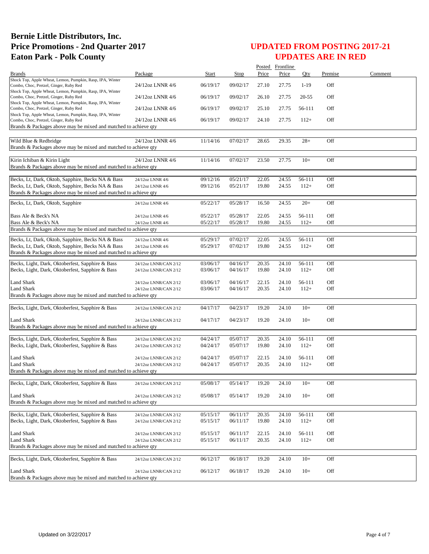|                                                                                                                      |                                                |                      |                      |                | Posted Frontline |                  |            |         |
|----------------------------------------------------------------------------------------------------------------------|------------------------------------------------|----------------------|----------------------|----------------|------------------|------------------|------------|---------|
| <b>Brands</b>                                                                                                        | Package                                        | Start                | Stop                 | Price          | Price            | Oty              | Premise    | Comment |
| Shock Top, Apple Wheat, Lemon, Pumpkin, Rasp, IPA, Winter<br>Combo, Choc, Pretzel, Ginger, Ruby Red                  | 24/12oz LNNR 4/6                               | 06/19/17             | 09/02/17             | 27.10          | 27.75            | $1-19$           | Off        |         |
| Shock Top, Apple Wheat, Lemon, Pumpkin, Rasp, IPA, Winter<br>Combo, Choc, Pretzel, Ginger, Ruby Red                  | 24/12oz LNNR 4/6                               | 06/19/17             | 09/02/17             | 26.10          | 27.75            | $20 - 55$        | Off        |         |
| Shock Top, Apple Wheat, Lemon, Pumpkin, Rasp, IPA, Winter<br>Combo, Choc, Pretzel, Ginger, Ruby Red                  | 24/12oz LNNR 4/6                               | 06/19/17             | 09/02/17             | 25.10          | 27.75            | 56-111           | Off        |         |
| Shock Top, Apple Wheat, Lemon, Pumpkin, Rasp, IPA, Winter<br>Combo, Choc, Pretzel, Ginger, Ruby Red                  | 24/12oz LNNR 4/6                               | 06/19/17             | 09/02/17             | 24.10          | 27.75            | $112+$           | Off        |         |
| Brands & Packages above may be mixed and matched to achieve qty                                                      |                                                |                      |                      |                |                  |                  |            |         |
| Wild Blue & Redbridge<br>Brands & Packages above may be mixed and matched to achieve qty                             | 24/12oz LNNR 4/6                               | 11/14/16             | 07/02/17             | 28.65          | 29.35            | $28+$            | Off        |         |
|                                                                                                                      |                                                |                      |                      |                |                  |                  |            |         |
| Kirin Ichiban & Kirin Light<br>Brands & Packages above may be mixed and matched to achieve qty                       | 24/12oz LNNR 4/6                               | 11/14/16             | 07/02/17             | 23.50          | 27.75            | $10+$            | Off        |         |
| Becks, Lt, Dark, Oktob, Sapphire, Becks NA & Bass                                                                    | 24/12oz LNNR 4/6                               | 09/12/16             | 05/21/17             | 22.05          | 24.55            | 56-111           | Off        |         |
| Becks, Lt, Dark, Oktob, Sapphire, Becks NA & Bass                                                                    | 24/12oz LNNR 4/6                               | 09/12/16             | 05/21/17             | 19.80          | 24.55            | $112+$           | Off        |         |
| Brands & Packages above may be mixed and matched to achieve qty                                                      |                                                |                      |                      |                |                  |                  |            |         |
| Becks, Lt, Dark, Oktob, Sapphire                                                                                     | 24/12oz LNNR 4/6                               | 05/22/17             | 05/28/17             | 16.50          | 24.55            | $20+$            | Off        |         |
| Bass Ale & Beck's NA                                                                                                 | 24/12oz LNNR 4/6                               | 05/22/17             | 05/28/17             | 22.05          | 24.55            | 56-111           | Off        |         |
| Bass Ale & Beck's NA<br>Brands & Packages above may be mixed and matched to achieve qty                              | 24/12oz LNNR 4/6                               | 05/22/17             | 05/28/17             | 19.80          | 24.55            | $112+$           | Off        |         |
|                                                                                                                      |                                                |                      |                      |                |                  |                  |            |         |
| Becks, Lt, Dark, Oktob, Sapphire, Becks NA & Bass                                                                    | 24/12oz LNNR 4/6                               | 05/29/17             | 07/02/17             | 22.05          | 24.55            | 56-111           | Off        |         |
| Becks, Lt, Dark, Oktob, Sapphire, Becks NA & Bass<br>Brands & Packages above may be mixed and matched to achieve qty | 24/12oz LNNR 4/6                               | 05/29/17             | 07/02/17             | 19.80          | 24.55            | $112+$           | Off        |         |
|                                                                                                                      |                                                |                      |                      |                |                  |                  |            |         |
| Becks, Light, Dark, Oktoberfest, Sapphire & Bass<br>Becks, Light, Dark, Oktoberfest, Sapphire & Bass                 | 24/12oz LNNR/CAN 2/12<br>24/12oz LNNR/CAN 2/12 | 03/06/17<br>03/06/17 | 04/16/17<br>04/16/17 | 20.35<br>19.80 | 24.10<br>24.10   | 56-111<br>$112+$ | Off<br>Off |         |
| Land Shark                                                                                                           | 24/12oz LNNR/CAN 2/12                          | 03/06/17             | 04/16/17             | 22.15          | 24.10            | 56-111           | Off        |         |
| Land Shark                                                                                                           | 24/12oz LNNR/CAN 2/12                          | 03/06/17             | 04/16/17             | 20.35          | 24.10            | $112+$           | Off        |         |
| Brands & Packages above may be mixed and matched to achieve qty                                                      |                                                |                      |                      |                |                  |                  |            |         |
| Becks, Light, Dark, Oktoberfest, Sapphire & Bass                                                                     | 24/12oz LNNR/CAN 2/12                          | 04/17/17             | 04/23/17             | 19.20          | 24.10            | $10+$            | Off        |         |
| <b>Land Shark</b>                                                                                                    | 24/12oz LNNR/CAN 2/12                          | 04/17/17             | 04/23/17             | 19.20          | 24.10            | $10+$            | Off        |         |
| Brands & Packages above may be mixed and matched to achieve qty                                                      |                                                |                      |                      |                |                  |                  |            |         |
| Becks, Light, Dark, Oktoberfest, Sapphire & Bass                                                                     | 24/12oz LNNR/CAN 2/12                          | 04/24/17             | 05/07/17             | 20.35          | 24.10            | 56-111           | Off        |         |
| Becks, Light, Dark, Oktoberfest, Sapphire & Bass                                                                     | 24/12oz LNNR/CAN 2/12                          | 04/24/17             | 05/07/17             | 19.80          | 24.10            | $112+$           | Off        |         |
| Land Shark                                                                                                           | 24/12oz LNNR/CAN 2/12                          | 04/24/17             | 05/07/17             | 22.15          | 24.10            | 56-111           | Off        |         |
| Land Shark                                                                                                           | 24/12oz LNNR/CAN 2/12                          | 04/24/17             | 05/07/17             | 20.35          | 24.10            | $112+$           | Off        |         |
| Brands & Packages above may be mixed and matched to achieve qty                                                      |                                                |                      |                      |                |                  |                  |            |         |
| Becks, Light, Dark, Oktoberfest, Sapphire & Bass                                                                     | 24/12oz LNNR/CAN 2/12                          | 05/08/17             | 05/14/17             | 19.20          | 24.10            | $10+$            | Off        |         |
| Land Shark                                                                                                           | 24/12oz LNNR/CAN 2/12                          | 05/08/17             | 05/14/17             | 19.20          | 24.10            | $10+$            | Off        |         |
| Brands & Packages above may be mixed and matched to achieve qty                                                      |                                                |                      |                      |                |                  |                  |            |         |
| Becks, Light, Dark, Oktoberfest, Sapphire & Bass                                                                     |                                                | 05/15/17             |                      |                |                  |                  | Off        |         |
| Becks, Light, Dark, Oktoberfest, Sapphire & Bass                                                                     | 24/12oz LNNR/CAN 2/12<br>24/12oz LNNR/CAN 2/12 | 05/15/17             | 06/11/17<br>06/11/17 | 20.35<br>19.80 | 24.10<br>24.10   | 56-111<br>$112+$ | Off        |         |
| Land Shark                                                                                                           | 24/12oz LNNR/CAN 2/12                          | 05/15/17             | 06/11/17             | 22.15          | 24.10            | 56-111           | Off        |         |
| Land Shark                                                                                                           | 24/12oz LNNR/CAN 2/12                          | 05/15/17             | 06/11/17             | 20.35          | 24.10            | $112+$           | Off        |         |
| Brands & Packages above may be mixed and matched to achieve qty                                                      |                                                |                      |                      |                |                  |                  |            |         |
| Becks, Light, Dark, Oktoberfest, Sapphire & Bass                                                                     | 24/12oz LNNR/CAN 2/12                          | 06/12/17             | 06/18/17             | 19.20          | 24.10            | $10+$            | Off        |         |
| Land Shark                                                                                                           | 24/12oz LNNR/CAN 2/12                          | 06/12/17             | 06/18/17             | 19.20          | 24.10            | $10+$            | Off        |         |
| Brands & Packages above may be mixed and matched to achieve qty                                                      |                                                |                      |                      |                |                  |                  |            |         |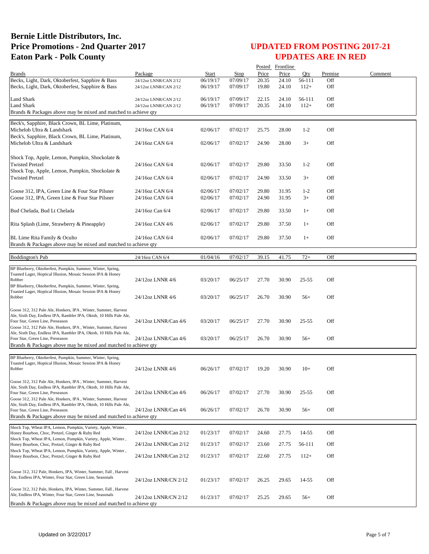|                                                                                                                                       |                       |          |          |       | Posted Frontline |           |         |         |
|---------------------------------------------------------------------------------------------------------------------------------------|-----------------------|----------|----------|-------|------------------|-----------|---------|---------|
| <b>Brands</b>                                                                                                                         | Package               | Start    | Stop     | Price | Price            | Otv       | Premise | Comment |
| Becks, Light, Dark, Oktoberfest, Sapphire & Bass                                                                                      | 24/12oz LNNR/CAN 2/12 | 06/19/17 | 07/09/17 | 20.35 | 24.10            | 56-111    | Off     |         |
| Becks, Light, Dark, Oktoberfest, Sapphire & Bass                                                                                      | 24/12oz LNNR/CAN 2/12 | 06/19/17 | 07/09/17 | 19.80 | 24.10            | $112+$    | Off     |         |
| <b>Land Shark</b>                                                                                                                     | 24/12oz LNNR/CAN 2/12 | 06/19/17 | 07/09/17 | 22.15 | 24.10            | 56-111    | Off     |         |
| Land Shark                                                                                                                            | 24/12oz LNNR/CAN 2/12 | 06/19/17 | 07/09/17 | 20.35 | 24.10            | $112+$    | Off     |         |
| Brands & Packages above may be mixed and matched to achieve qty                                                                       |                       |          |          |       |                  |           |         |         |
| Beck's, Sapphire, Black Crown, BL Lime, Platinum,                                                                                     |                       |          |          |       |                  |           |         |         |
| Michelob Ultra & Landshark                                                                                                            | 24/16oz CAN 6/4       | 02/06/17 | 07/02/17 | 25.75 | 28.00            | $1 - 2$   | Off     |         |
| Beck's, Sapphire, Black Crown, BL Lime, Platinum,                                                                                     |                       |          |          |       |                  |           |         |         |
| Michelob Ultra & Landshark                                                                                                            | 24/16oz CAN 6/4       | 02/06/17 | 07/02/17 | 24.90 | 28.00            | $3+$      | Off     |         |
|                                                                                                                                       |                       |          |          |       |                  |           |         |         |
| Shock Top, Apple, Lemon, Pumpkin, Shockolate &                                                                                        |                       |          |          |       |                  |           |         |         |
| <b>Twisted Pretzel</b>                                                                                                                | 24/16oz CAN 6/4       | 02/06/17 | 07/02/17 | 29.80 | 33.50            | $1 - 2$   | Off     |         |
| Shock Top, Apple, Lemon, Pumpkin, Shockolate &<br><b>Twisted Pretzel</b>                                                              | 24/16oz CAN 6/4       | 02/06/17 | 07/02/17 | 24.90 | 33.50            | $3+$      | Off     |         |
|                                                                                                                                       |                       |          |          |       |                  |           |         |         |
| Goose 312, IPA, Green Line & Four Star Pilsner                                                                                        | 24/16oz CAN 6/4       | 02/06/17 | 07/02/17 | 29.80 | 31.95            | $1-2$     | Off     |         |
| Goose 312, IPA, Green Line & Four Star Pilsner                                                                                        | 24/16oz CAN 6/4       | 02/06/17 | 07/02/17 | 24.90 | 31.95            | $3+$      | Off     |         |
|                                                                                                                                       |                       |          |          |       |                  |           |         |         |
| Bud Chelada, Bud Lt Chelada                                                                                                           | 24/16oz Can 6/4       | 02/06/17 | 07/02/17 | 29.80 | 33.50            | $1+$      | Off     |         |
|                                                                                                                                       |                       |          |          |       |                  |           |         |         |
| Rita Splash (Lime, Strawberry & Pineapple)                                                                                            | 24/16oz CAN 4/6       | 02/06/17 | 07/02/17 | 29.80 | 37.50            | $1+$      | Off     |         |
| BL Lime Rita Family & Oculto                                                                                                          | 24/16oz CAN 6/4       | 02/06/17 | 07/02/17 | 29.80 | 37.50            | $1+$      | Off     |         |
| Brands & Packages above may be mixed and matched to achieve qty                                                                       |                       |          |          |       |                  |           |         |         |
|                                                                                                                                       |                       |          |          |       |                  |           |         |         |
| <b>Boddington's Pub</b>                                                                                                               | 24/16oz CAN 6/4       | 01/04/16 | 07/02/17 | 39.15 | 41.75            | $72+$     | Off     |         |
| BP Blueberry, Oktoberfest, Pumpkin, Summer, Winter, Spring,                                                                           |                       |          |          |       |                  |           |         |         |
| Toasted Lager, Hoptical Illusion, Mosaic Session IPA & Honey                                                                          |                       |          |          |       |                  |           |         |         |
| Robber                                                                                                                                | 24/12oz LNNR 4/6      | 03/20/17 | 06/25/17 | 27.70 | 30.90            | $25 - 55$ | Off     |         |
| BP Blueberry, Oktoberfest, Pumpkin, Summer, Winter, Spring,<br>Toasted Lager, Hoptical Illusion, Mosaic Session IPA & Honey           |                       |          |          |       |                  |           |         |         |
| Robber                                                                                                                                | 24/12oz LNNR 4/6      | 03/20/17 | 06/25/17 | 26.70 | 30.90            | $56+$     | Off     |         |
|                                                                                                                                       |                       |          |          |       |                  |           |         |         |
| Goose 312, 312 Pale Ale, Honkers, IPA, Winter, Summer, Harvest<br>Ale, Sixth Day, Endless IPA, Rambler IPA, Oktob, 10 Hills Pale Ale, |                       |          |          |       |                  |           |         |         |
| Four Star, Green Line, Preseason                                                                                                      | 24/12oz LNNR/Can 4/6  | 03/20/17 | 06/25/17 | 27.70 | 30.90            | $25 - 55$ | Off     |         |
| Goose 312, 312 Pale Ale, Honkers, IPA, Winter, Summer, Harvest                                                                        |                       |          |          |       |                  |           |         |         |
| Ale, Sixth Day, Endless IPA, Rambler IPA, Oktob, 10 Hills Pale Ale,<br>Four Star, Green Line, Preseason                               | 24/12oz LNNR/Can 4/6  | 03/20/17 | 06/25/17 | 26.70 | 30.90            | $56+$     | Off     |         |
| Brands & Packages above may be mixed and matched to achieve qty                                                                       |                       |          |          |       |                  |           |         |         |
|                                                                                                                                       |                       |          |          |       |                  |           |         |         |
| BP Blueberry, Oktoberfest, Pumpkin, Summer, Winter, Spring,                                                                           |                       |          |          |       |                  |           |         |         |
| Toasted Lager, Hoptical Illusion, Mosaic Session IPA & Honey<br>Robber                                                                | 24/12oz LNNR 4/6      | 06/26/17 | 07/02/17 | 19.20 | 30.90            | $10+$     | Off     |         |
|                                                                                                                                       |                       |          |          |       |                  |           |         |         |
| Goose 312, 312 Pale Ale, Honkers, IPA, Winter, Summer, Harvest                                                                        |                       |          |          |       |                  |           |         |         |
| Ale, Sixth Day, Endless IPA, Rambler IPA, Oktob, 10 Hills Pale Ale,<br>Four Star, Green Line, Preseason                               | 24/12oz LNNR/Can 4/6  | 06/26/17 | 07/02/17 | 27.70 | 30.90            | $25 - 55$ | Off     |         |
| Goose 312, 312 Pale Ale, Honkers, IPA, Winter, Summer, Harvest                                                                        |                       |          |          |       |                  |           |         |         |
| Ale, Sixth Day, Endless IPA, Rambler IPA, Oktob, 10 Hills Pale Ale,                                                                   |                       |          |          |       |                  |           |         |         |
| Four Star, Green Line, Preseason                                                                                                      | 24/12oz LNNR/Can 4/6  | 06/26/17 | 07/02/17 | 26.70 | 30.90            | $56+$     | Off     |         |
| Brands & Packages above may be mixed and matched to achieve qty                                                                       |                       |          |          |       |                  |           |         |         |
| Shock Top, Wheat IPA, Lemon, Pumpkin, Variety, Apple, Winter,                                                                         |                       |          |          |       |                  |           |         |         |
| Honey Bourbon, Choc, Pretzel, Ginger & Ruby Red<br>Shock Top, Wheat IPA, Lemon, Pumpkin, Variety, Apple, Winter,                      | 24/12oz LNNR/Can 2/12 | 01/23/17 | 07/02/17 | 24.60 | 27.75            | 14-55     | Off     |         |
| Honey Bourbon, Choc, Pretzel, Ginger & Ruby Red                                                                                       | 24/12oz LNNR/Can 2/12 | 01/23/17 | 07/02/17 | 23.60 | 27.75            | 56-111    | Off     |         |
| Shock Top, Wheat IPA, Lemon, Pumpkin, Variety, Apple, Winter,                                                                         |                       |          |          |       |                  |           |         |         |
| Honey Bourbon, Choc, Pretzel, Ginger & Ruby Red                                                                                       | 24/12oz LNNR/Can 2/12 | 01/23/17 | 07/02/17 | 22.60 | 27.75            | $112+$    | Off     |         |
|                                                                                                                                       |                       |          |          |       |                  |           |         |         |
| Goose 312, 312 Pale, Honkers, IPA, Winter, Summer, Fall, Harvest<br>Ale, Endless IPA, Winter, Four Star, Green Line, Seasonals        |                       |          |          |       |                  |           |         |         |
|                                                                                                                                       | 24/12oz LNNR/CN 2/12  | 01/23/17 | 07/02/17 | 26.25 | 29.65            | 14-55     | Off     |         |
| Goose 312, 312 Pale, Honkers, IPA, Winter, Summer, Fall, Harvest                                                                      |                       |          |          |       |                  |           |         |         |
| Ale, Endless IPA, Winter, Four Star, Green Line, Seasonals                                                                            | 24/12oz LNNR/CN 2/12  | 01/23/17 | 07/02/17 | 25.25 | 29.65            | $56+$     | Off     |         |
| Brands & Packages above may be mixed and matched to achieve qty                                                                       |                       |          |          |       |                  |           |         |         |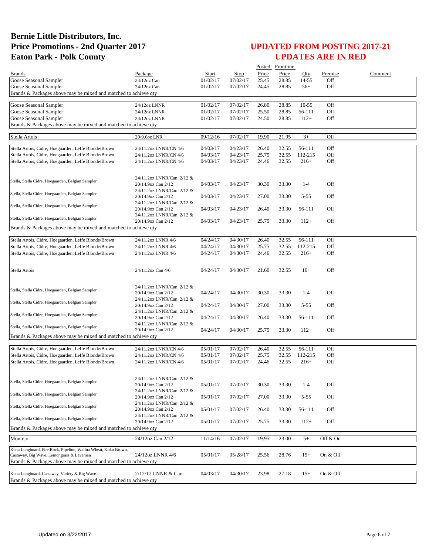|                                                                                                                 |                                                 |              |          |       | Posted Frontline |           |          |         |
|-----------------------------------------------------------------------------------------------------------------|-------------------------------------------------|--------------|----------|-------|------------------|-----------|----------|---------|
| <b>Brands</b>                                                                                                   | Package                                         | <b>Start</b> | Stop     | Price | Price            | Oty       | Premise  | Comment |
| Goose Seasonal Sampler                                                                                          | 24/12oz Can                                     | 01/02/17     | 07/02/17 | 25.45 | 28.85            | 14-55     | Off      |         |
| Goose Seasonal Sampler                                                                                          | 24/12oz Can                                     | 01/02/17     | 07/02/17 | 24.45 | 28.85            | $56+$     | Off      |         |
| Brands & Packages above may be mixed and matched to achieve qty                                                 |                                                 |              |          |       |                  |           |          |         |
| Goose Seasonal Sampler                                                                                          | 24/12oz LNNR                                    | 01/02/17     | 07/02/17 | 26.80 | 28.85            | $10 - 55$ | Off      |         |
| Goose Seasonal Sampler                                                                                          | 24/12oz LNNR                                    | 01/02/17     | 07/02/17 | 25.50 | 28.85            | 56-111    | Off      |         |
| Goose Seasonal Sampler                                                                                          | 24/12oz LNNR                                    | 01/02/17     | 07/02/17 | 24.50 | 28.85            | $112+$    | Off      |         |
| Brands & Packages above may be mixed and matched to achieve qty                                                 |                                                 |              |          |       |                  |           |          |         |
|                                                                                                                 |                                                 |              |          |       |                  |           |          |         |
| Stella Artois                                                                                                   | 20/9.6oz LNR                                    | 09/12/16     | 07/02/17 | 19.90 | 21.95            | $3+$      | Off      |         |
| Stella Artois, Cidre, Hoegaarden, Leffe Blonde/Brown                                                            | 24/11.2oz LNNR/CN 4/6                           | 04/03/17     | 04/23/17 | 26.40 | 32.55            | 56-111    | Off      |         |
| Stella Artois, Cidre, Hoegaarden, Leffe Blonde/Brown                                                            | 24/11.2oz LNNR/CN 4/6                           | 04/03/17     | 04/23/17 | 25.75 | 32.55            | 112-215   | Off      |         |
| Stella Artois, Cidre, Hoegaarden, Leffe Blonde/Brown                                                            | 24/11.2oz LNNR/CN 4/6                           | 04/03/17     | 04/23/17 | 24.46 | 32.55            | $216+$    | Off      |         |
|                                                                                                                 |                                                 |              |          |       |                  |           |          |         |
|                                                                                                                 | 24/11.2oz LNNR/Can 2/12 &                       |              |          |       |                  |           |          |         |
| Stella, Stella Cidre, Hoegaarden, Belgian Sampler                                                               | 20/14.9oz Can 2/12                              | 04/03/17     | 04/23/17 | 30.30 | 33.30            | $1 - 4$   | Off      |         |
| Stella, Stella Cidre, Hoegaarden, Belgian Sampler                                                               | 24/11.2oz LNNR/Can 2/12 &                       |              |          |       |                  |           |          |         |
|                                                                                                                 | 20/14.9oz Can 2/12                              | 04/03/17     | 04/23/17 | 27.00 | 33.30            | $5 - 55$  | Off      |         |
| Stella, Stella Cidre, Hoegaarden, Belgian Sampler                                                               | 24/11.2oz LNNR/Can 2/12 &                       |              |          |       |                  |           |          |         |
|                                                                                                                 | 20/14.9oz Can 2/12<br>24/11.2oz LNNR/Can 2/12 & | 04/03/17     | 04/23/17 | 26.40 | 33.30            | 56-111    | Off      |         |
| Stella, Stella Cidre, Hoegaarden, Belgian Sampler                                                               | 20/14.9oz Can 2/12                              | 04/03/17     | 04/23/17 | 25.75 | 33.30            | $112+$    | Off      |         |
| Brands & Packages above may be mixed and matched to achieve qty                                                 |                                                 |              |          |       |                  |           |          |         |
|                                                                                                                 |                                                 |              |          |       |                  |           |          |         |
| Stella Artois, Cidre, Hoegaarden, Leffe Blonde/Brown                                                            | 24/11.2oz LNNR 4/6                              | 04/24/17     | 04/30/17 | 26.40 | 32.55            | 56-111    | Off      |         |
| Stella Artois, Cidre, Hoegaarden, Leffe Blonde/Brown                                                            | 24/11.2oz LNNR 4/6                              | 04/24/17     | 04/30/17 | 25.75 | 32.55            | 112-215   | Off      |         |
| Stella Artois, Cidre, Hoegaarden, Leffe Blonde/Brown                                                            | 24/11.2oz LNNR 4/6                              | 04/24/17     | 04/30/17 | 24.46 | 32.55            | $216+$    | Off      |         |
|                                                                                                                 |                                                 |              |          |       |                  |           |          |         |
| Stella Artois                                                                                                   | 24/11.2oz Can 4/6                               | 04/24/17     | 04/30/17 | 21.60 | 32.55            | $10+$     | Off      |         |
|                                                                                                                 |                                                 |              |          |       |                  |           |          |         |
|                                                                                                                 | 24/11.2oz LNNR/Can 2/12 &                       |              |          |       |                  |           |          |         |
| Stella, Stella Cidre, Hoegaarden, Belgian Sampler                                                               | 20/14.9oz Can 2/12                              | 04/24/17     | 04/30/17 | 30.30 | 33.30            | $1-4$     | Off      |         |
| Stella, Stella Cidre, Hoegaarden, Belgian Sampler                                                               | 24/11.2oz LNNR/Can 2/12 &                       |              |          |       |                  |           |          |         |
|                                                                                                                 | 20/14.9oz Can 2/12                              | 04/24/17     | 04/30/17 | 27.00 | 33.30            | $5 - 55$  | Off      |         |
| Stella, Stella Cidre, Hoegaarden, Belgian Sampler                                                               | 24/11.2oz LNNR/Can 2/12 &                       | 04/24/17     | 04/30/17 |       | 33.30            |           | Off      |         |
|                                                                                                                 | 20/14.9oz Can 2/12<br>24/11.2oz LNNR/Can 2/12 & |              |          | 26.40 |                  | 56-111    |          |         |
| Stella, Stella Cidre, Hoegaarden, Belgian Sampler                                                               | 20/14.9oz Can 2/12                              | 04/24/17     | 04/30/17 | 25.75 | 33.30            | $112+$    | Off      |         |
| Brands & Packages above may be mixed and matched to achieve qty                                                 |                                                 |              |          |       |                  |           |          |         |
|                                                                                                                 |                                                 |              |          |       |                  |           |          |         |
| Stella Artois, Cidre, Hoegaarden, Leffe Blonde/Brown                                                            | 24/11.2oz LNNR/CN 4/6                           | 05/01/17     | 07/02/17 | 26.40 | 32.55            | 56-111    | Off      |         |
| Stella Artois, Cidre, Hoegaarden, Leffe Blonde/Brown                                                            | 24/11.2oz LNNR/CN 4/6                           | 05/01/17     | 07/02/17 | 25.75 | 32.55            | 112-215   | Off      |         |
| Stella Artois, Cidre, Hoegaarden, Leffe Blonde/Brown                                                            | 24/11.2oz LNNR/CN 4/6                           | 05/01/17     | 07/02/17 | 24.46 | 32.55            | $216+$    | Off      |         |
|                                                                                                                 |                                                 |              |          |       |                  |           |          |         |
| Stella, Stella Cidre, Hoegaarden, Belgian Sampler                                                               | 24/11.2oz LNNR/Can 2/12 &                       |              |          |       |                  |           |          |         |
|                                                                                                                 | 20/14.9oz Can 2/12                              | 05/01/17     | 07/02/17 | 30.30 | 33.30            | $1 - 4$   | Off      |         |
| Stella, Stella Cidre, Hoegaarden, Belgian Sampler                                                               | 24/11.2oz LNNR/Can 2/12 &<br>20/14.9oz Can 2/12 | 05/01/17     | 07/02/17 | 27.00 | 33.30            | $5 - 55$  | Off      |         |
|                                                                                                                 | 24/11.2oz LNNR/Can 2/12 &                       |              |          |       |                  |           |          |         |
| Stella, Stella Cidre, Hoegaarden, Belgian Sampler                                                               | 20/14.9oz Can 2/12                              | 05/01/17     | 07/02/17 | 26.40 | 33.30            | 56-111    | Off      |         |
| Stella, Stella Cidre, Hoegaarden, Belgian Sampler                                                               | 24/11.2oz LNNR/Can 2/12 &                       |              |          |       |                  |           |          |         |
|                                                                                                                 | 20/14.9oz Can 2/12                              | 05/01/17     | 07/02/17 | 25.75 | 33.30            | $112+$    | Off      |         |
| Brands & Packages above may be mixed and matched to achieve qty                                                 |                                                 |              |          |       |                  |           |          |         |
| Montejo                                                                                                         | 24/12oz Can 2/12                                | 11/14/16     | 07/02/17 | 19.95 | 23.00            | $5+$      | Off & On |         |
| Kona Longboard, Fire Rock, Pipeline, Wailua Wheat, Koko Brown,                                                  |                                                 |              |          |       |                  |           |          |         |
| Castaway, Big Wave, Lemongrass & Lavaman                                                                        | 24/12oz LNNR 4/6                                | 05/01/17     | 05/28/17 | 25.56 | 28.76            | $15+$     | On & Off |         |
| Brands & Packages above may be mixed and matched to achieve qty                                                 |                                                 |              |          |       |                  |           |          |         |
|                                                                                                                 |                                                 |              |          |       |                  |           |          |         |
| Kona Longboard, Castaway, Variety & Big Wave<br>Brands & Packages above may be mixed and matched to achieve qty | 2/12/12 LNNR & Can                              | 04/03/17     | 04/30/17 | 23.98 | 27.18            | $15+$     | On & Off |         |
|                                                                                                                 |                                                 |              |          |       |                  |           |          |         |